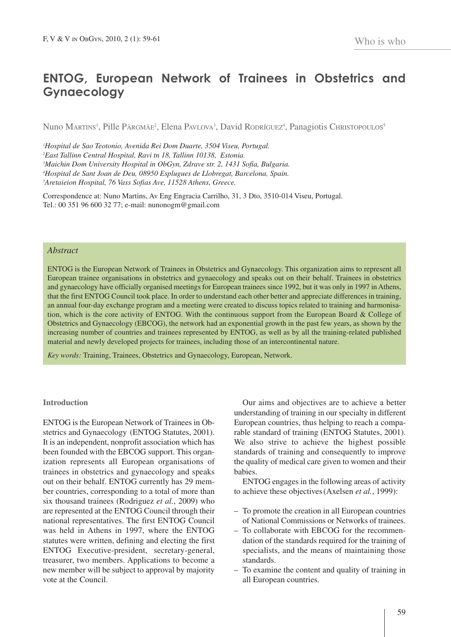# **ENTOG, European Network of Trainees in Obstetrics and Gynaecology**

Nuno Martins<sup>1</sup>, Pille Pärgmäe<sup>2</sup>, Elena Pavlova<sup>3</sup>, David Rodríguez<sup>4</sup>, Panagiotis Christopoulos<sup>s</sup>

 *Hospital de Sao Teotonio, Avenida Rei Dom Duarte, 3504 Viseu, Portugal. East Tallinn Central Hospital, Ravi tn 18, Tallinn 10138, Estonia. Maichin Dom University Hospital in ObGyn, Zdrave str. 2, 1431 Sofia, Bulgaria. Hospital de Sant Joan de Deu, 08950 Esplugues de Llobregat, Barcelona, Spain. Aretaieion Hospital, 76 Vass Sofias Ave, 11528 Athens, Greece.*

Correspondence at: Nuno Martins, Av Eng Engracia Carrilho, 31, 3 Dto, 3510-014 Viseu, Portugal. Tel.: 00 351 96 600 32 77; e-mail: nunonogm@gmail.com

## *Abstract*

ENTOG is the European Network of Trainees in Obstetrics and Gynaecology. This organization aims to represent all European trainee organisations in obstetrics and gynaecology and speaks out on their behalf. Trainees in obstetrics and gynaecology have officially organised meetings for European trainees since 1992, but it was only in 1997 in Athens, that the first ENTOG Council took place. In order to understand each other better and appreciate differences in training, an annual four-day exchange program and a meeting were created to discuss topics related to training and harmonisation, which is the core activity of ENTOG. With the continuous support from the European Board & College of Obstetrics and Gynaecology (EBCOG), the network had an exponential growth in the past few years, as shown by the increasing number of countries and trainees represented by ENTOG, as well as by all the training-related published material and newly developed projects for trainees, including those of an intercontinental nature.

*Key words:* Training, Trainees, Obstetrics and Gynaecology, European, Network.

## **Introduction**

ENTOG is the European Network of Trainees in Obstetrics and Gynaecology (ENTOG Statutes, 2001). It is an independent, nonprofit association which has been founded with the EBCOG support. This organization represents all European organisations of trainees in obstetrics and gynaecology and speaks out on their behalf. ENTOG currently has 29 member countries, corresponding to a total of more than six thousand trainees (Rodriguez *et al.*, 2009) who are represented at the ENTOG Council through their national representatives. The first ENTOG Council was held in Athens in 1997, where the ENTOG statutes were written, defining and electing the first ENTOG Executive-president, secretary-general, treasurer, two members. Applications to become a new member will be subject to approval by majority vote at the Council.

Our aims and objectives are to achieve a better understanding of training in our specialty in different European countries, thus helping to reach a comparable standard of training (ENTOG Statutes, 2001). We also strive to achieve the highest possible standards of training and consequently to improve the quality of medical care given to women and their babies.

ENTOG engages in the following areas of activity to achieve these objectives(Axelsen *et al.*, 1999):

- To promote the creation in all European countries of National Commissions or Networks of trainees.
- To collaborate with EBCOG for the recommendation of the standards required for the training of specialists, and the means of maintaining those standards.
- To examine the content and quality of training in all European countries.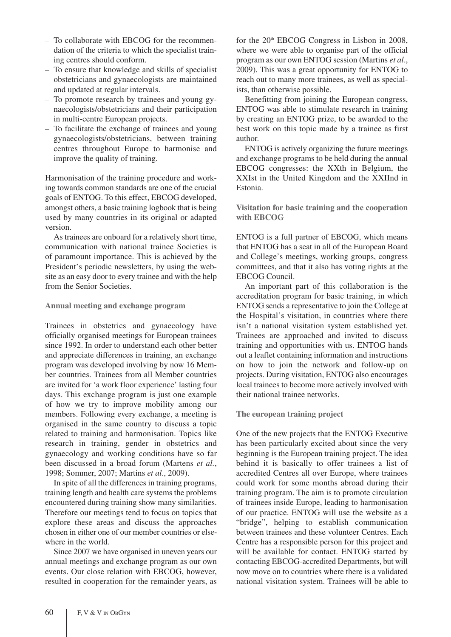- To collaborate with EBCOG for the recommendation of the criteria to which the specialist training centres should conform.
- To ensure that knowledge and skills of specialist obstetricians and gynaecologists are maintained and updated at regular intervals.
- To promote research by trainees and young gynaecologists/obstetricians and their participation in multi-centre European projects.
- To facilitate the exchange of trainees and young gynaecologists/obstetricians, between training centres throughout Europe to harmonise and improve the quality of training.

Harmonisation of the training procedure and working towards common standards are one of the crucial goals of ENTOG. To this effect, EBCOG developed, amongst others, a basic training logbook that is being used by many countries in its original or adapted version.

As trainees are onboard for a relatively short time, communication with national trainee Societies is of paramount importance. This is achieved by the President's periodic newsletters, by using the website as an easy door to every trainee and with the help from the Senior Societies.

## **Annual meeting and exchange program**

Trainees in obstetrics and gynaecology have officially organised meetings for European trainees since 1992. In order to understand each other better and appreciate differences in training, an exchange program was developed involving by now 16 Member countries. Trainees from all Member countries are invited for 'a work floor experience' lasting four days. This exchange program is just one example of how we try to improve mobility among our members. Following every exchange, a meeting is organised in the same country to discuss a topic related to training and harmonisation. Topics like research in training, gender in obstetrics and gynaecology and working conditions have so far been discussed in a broad forum (Martens *et al.*, 1998; Sommer, 2007; Martins *et al*., 2009).

In spite of all the differences in training programs, training length and health care systems the problems encountered during training show many similarities. Therefore our meetings tend to focus on topics that explore these areas and discuss the approaches chosen in either one of our member countries or elsewhere in the world.

Since 2007 we have organised in uneven years our annual meetings and exchange program as our own events. Our close relation with EBCOG, however, resulted in cooperation for the remainder years, as for the 20<sup>th</sup> EBCOG Congress in Lisbon in 2008, where we were able to organise part of the official program as our own ENTOG session (Martins *et al*., 2009). This was a great opportunity for ENTOG to reach out to many more trainees, as well as specialists, than otherwise possible.

Benefitting from joining the European congress, ENTOG was able to stimulate research in training by creating an ENTOG prize, to be awarded to the best work on this topic made by a trainee as first author.

ENTOG is actively organizing the future meetings and exchange programs to be held during the annual EBCOG congresses: the XXth in Belgium, the XXIst in the United Kingdom and the XXIInd in Estonia.

**Visitation for basic training and the cooperation with EBCOG**

ENTOG is a full partner of EBCOG, which means that ENTOG has a seat in all of the European Board and College's meetings, working groups, congress committees, and that it also has voting rights at the EBCOG Council.

An important part of this collaboration is the accreditation program for basic training, in which ENTOG sends a representative to join the College at the Hospital's visitation, in countries where there isn't a national visitation system established yet. Trainees are approached and invited to discuss training and opportunities with us. ENTOG hands out a leaflet containing information and instructions on how to join the network and follow-up on projects. During visitation, ENTOG also encourages local trainees to become more actively involved with their national trainee networks.

# **The european training project**

One of the new projects that the ENTOG Executive has been particularly excited about since the very beginning is the European training project. The idea behind it is basically to offer trainees a list of accredited Centres all over Europe, where trainees could work for some months abroad during their training program. The aim is to promote circulation of trainees inside Europe, leading to harmonisation of our practice. ENTOG will use the website as a "bridge", helping to establish communication between trainees and these volunteer Centres. Each Centre has a responsible person for this project and will be available for contact. ENTOG started by contacting EBCOG-accredited Departments, but will now move on to countries where there is a validated national visitation system. Trainees will be able to